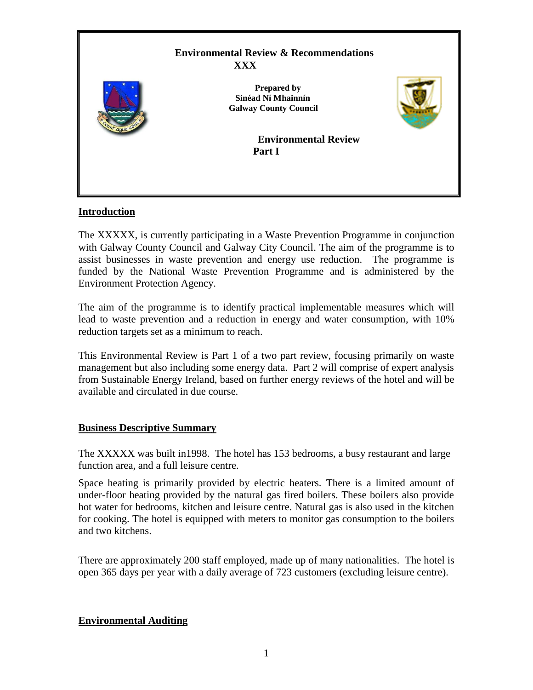

### **Introduction**

The XXXXX, is currently participating in a Waste Prevention Programme in conjunction with Galway County Council and Galway City Council. The aim of the programme is to assist businesses in waste prevention and energy use reduction. The programme is funded by the National Waste Prevention Programme and is administered by the Environment Protection Agency.

The aim of the programme is to identify practical implementable measures which will lead to waste prevention and a reduction in energy and water consumption, with 10% reduction targets set as a minimum to reach.

This Environmental Review is Part 1 of a two part review, focusing primarily on waste management but also including some energy data. Part 2 will comprise of expert analysis from Sustainable Energy Ireland, based on further energy reviews of the hotel and will be available and circulated in due course.

## **Business Descriptive Summary**

The XXXXX was built in1998. The hotel has 153 bedrooms, a busy restaurant and large function area, and a full leisure centre.

Space heating is primarily provided by electric heaters. There is a limited amount of under-floor heating provided by the natural gas fired boilers. These boilers also provide hot water for bedrooms, kitchen and leisure centre. Natural gas is also used in the kitchen for cooking. The hotel is equipped with meters to monitor gas consumption to the boilers and two kitchens.

There are approximately 200 staff employed, made up of many nationalities. The hotel is open 365 days per year with a daily average of 723 customers (excluding leisure centre).

## **Environmental Auditing**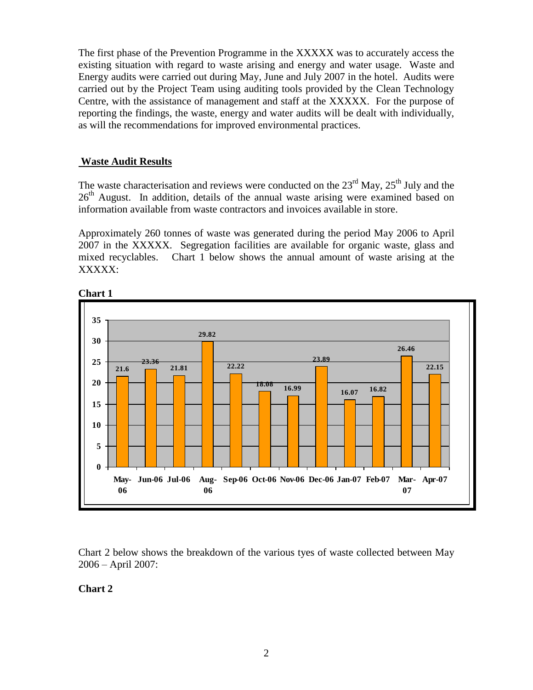The first phase of the Prevention Programme in the XXXXX was to accurately access the existing situation with regard to waste arising and energy and water usage. Waste and Energy audits were carried out during May, June and July 2007 in the hotel. Audits were carried out by the Project Team using auditing tools provided by the Clean Technology Centre, with the assistance of management and staff at the XXXXX. For the purpose of reporting the findings, the waste, energy and water audits will be dealt with individually, as will the recommendations for improved environmental practices.

### **Waste Audit Results**

The waste characterisation and reviews were conducted on the  $23<sup>rd</sup>$  May,  $25<sup>th</sup>$  July and the 26<sup>th</sup> August. In addition, details of the annual waste arising were examined based on information available from waste contractors and invoices available in store.

Approximately 260 tonnes of waste was generated during the period May 2006 to April 2007 in the XXXXX. Segregation facilities are available for organic waste, glass and mixed recyclables. Chart 1 below shows the annual amount of waste arising at the XXXXX:



#### **Chart 1**

Chart 2 below shows the breakdown of the various tyes of waste collected between May 2006 – April 2007:

**Chart 2**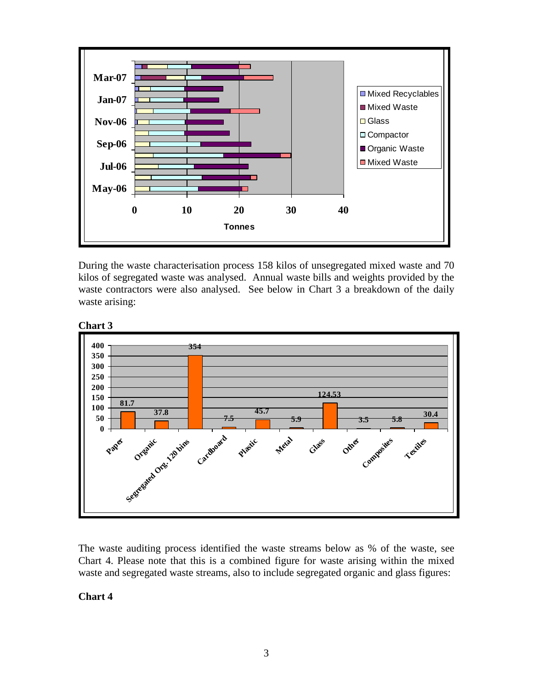

During the waste characterisation process 158 kilos of unsegregated mixed waste and 70 kilos of segregated waste was analysed. Annual waste bills and weights provided by the waste contractors were also analysed. See below in Chart 3 a breakdown of the daily waste arising:





The waste auditing process identified the waste streams below as % of the waste, see Chart 4. Please note that this is a combined figure for waste arising within the mixed waste and segregated waste streams, also to include segregated organic and glass figures:

## **Chart 4**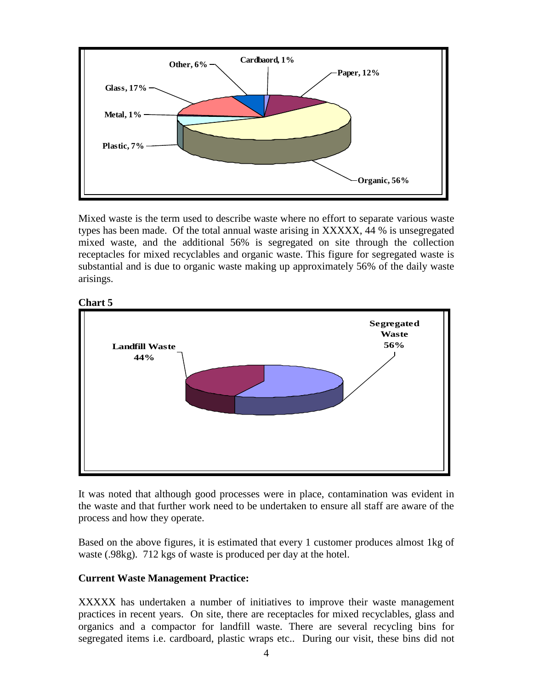

Mixed waste is the term used to describe waste where no effort to separate various waste types has been made. Of the total annual waste arising in XXXXX, 44 % is unsegregated mixed waste, and the additional 56% is segregated on site through the collection receptacles for mixed recyclables and organic waste. This figure for segregated waste is substantial and is due to organic waste making up approximately 56% of the daily waste arisings.





It was noted that although good processes were in place, contamination was evident in the waste and that further work need to be undertaken to ensure all staff are aware of the process and how they operate.

Based on the above figures, it is estimated that every 1 customer produces almost 1kg of waste (.98kg). 712 kgs of waste is produced per day at the hotel.

## **Current Waste Management Practice:**

XXXXX has undertaken a number of initiatives to improve their waste management practices in recent years. On site, there are receptacles for mixed recyclables, glass and organics and a compactor for landfill waste. There are several recycling bins for segregated items i.e. cardboard, plastic wraps etc.. During our visit, these bins did not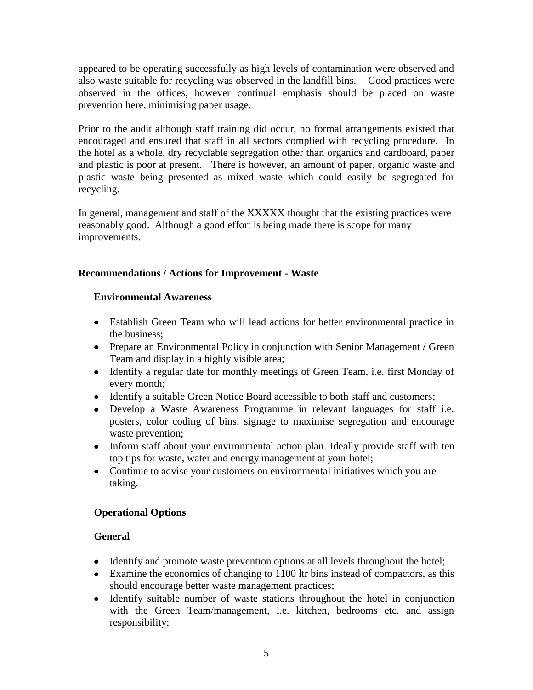appeared to be operating successfully as high levels of contamination were observed and also waste suitable for recycling was observed in the landfill bins. Good practices were observed in the offices, however continual emphasis should be placed on waste prevention here, minimising paper usage.

Prior to the audit although staff training did occur, no formal arrangements existed that encouraged and ensured that staff in all sectors complied with recycling procedure. In the hotel as a whole, dry recyclable segregation other than organics and cardboard, paper and plastic is poor at present. There is however, an amount of paper, organic waste and plastic waste being presented as mixed waste which could easily be segregated for recycling.

In general, management and staff of the XXXXX thought that the existing practices were reasonably good. Although a good effort is being made there is scope for many improvements.

## **Recommendations / Actions for Improvement - Waste**

## **Environmental Awareness**

- Establish Green Team who will lead actions for better environmental practice in the business;
- Prepare an Environmental Policy in conjunction with Senior Management / Green Team and display in a highly visible area;
- Identify a regular date for monthly meetings of Green Team, i.e. first Monday of every month;
- Identify a suitable Green Notice Board accessible to both staff and customers;
- Develop a Waste Awareness Programme in relevant languages for staff i.e. posters, color coding of bins, signage to maximise segregation and encourage waste prevention;
- Inform staff about your environmental action plan. Ideally provide staff with ten top tips for waste, water and energy management at your hotel;
- Continue to advise your customers on environmental initiatives which you are taking.

## **Operational Options**

## **General**

- Identify and promote waste prevention options at all levels throughout the hotel;
- Examine the economics of changing to 1100 ltr bins instead of compactors, as this should encourage better waste management practices;
- Identify suitable number of waste stations throughout the hotel in conjunction with the Green Team/management, i.e. kitchen, bedrooms etc. and assign responsibility;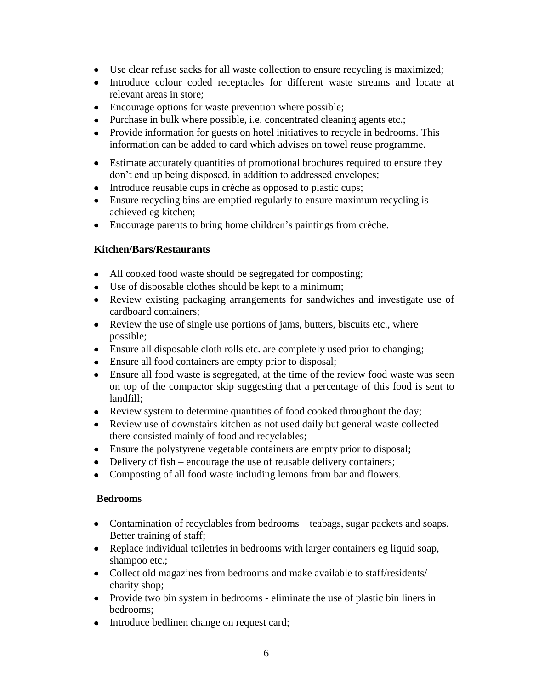- Use clear refuse sacks for all waste collection to ensure recycling is maximized;
- Introduce colour coded receptacles for different waste streams and locate at relevant areas in store;
- Encourage options for waste prevention where possible;
- Purchase in bulk where possible, i.e. concentrated cleaning agents etc.;
- Provide information for guests on hotel initiatives to recycle in bedrooms. This information can be added to card which advises on towel reuse programme.
- Estimate accurately quantities of promotional brochures required to ensure they don't end up being disposed, in addition to addressed envelopes;
- Introduce reusable cups in crèche as opposed to plastic cups;
- Ensure recycling bins are emptied regularly to ensure maximum recycling is achieved eg kitchen;
- Encourage parents to bring home children's paintings from crèche.

### **Kitchen/Bars/Restaurants**

- All cooked food waste should be segregated for composting;
- Use of disposable clothes should be kept to a minimum;
- Review existing packaging arrangements for sandwiches and investigate use of cardboard containers;
- Review the use of single use portions of jams, butters, biscuits etc., where possible;
- Ensure all disposable cloth rolls etc. are completely used prior to changing;
- Ensure all food containers are empty prior to disposal;
- Ensure all food waste is segregated, at the time of the review food waste was seen on top of the compactor skip suggesting that a percentage of this food is sent to landfill;
- Review system to determine quantities of food cooked throughout the day;
- Review use of downstairs kitchen as not used daily but general waste collected there consisted mainly of food and recyclables;
- Ensure the polystyrene vegetable containers are empty prior to disposal;
- Delivery of fish encourage the use of reusable delivery containers;
- Composting of all food waste including lemons from bar and flowers.

#### **Bedrooms**

- Contamination of recyclables from bedrooms teabags, sugar packets and soaps. Better training of staff;
- Replace individual toiletries in bedrooms with larger containers eg liquid soap, shampoo etc.;
- Collect old magazines from bedrooms and make available to staff/residents/ charity shop;
- Provide two bin system in bedrooms eliminate the use of plastic bin liners in bedrooms;
- Introduce bedlinen change on request card;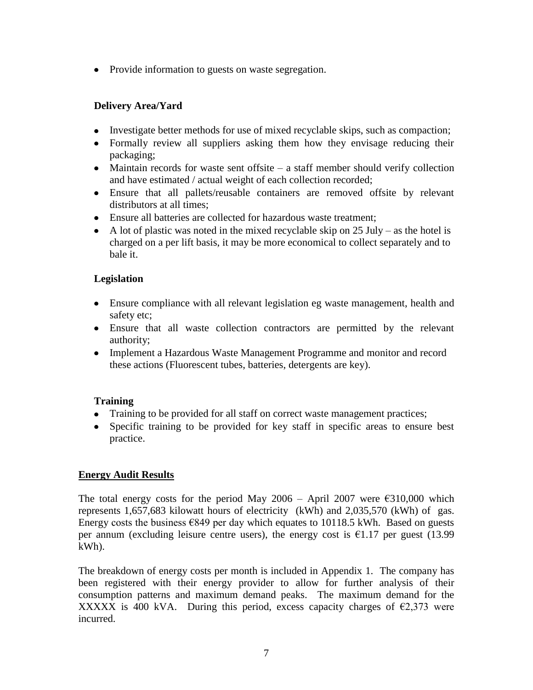• Provide information to guests on waste segregation.

## **Delivery Area/Yard**

- Investigate better methods for use of mixed recyclable skips, such as compaction;
- Formally review all suppliers asking them how they envisage reducing their packaging;
- Maintain records for waste sent offsite a staff member should verify collection and have estimated / actual weight of each collection recorded;
- Ensure that all pallets/reusable containers are removed offsite by relevant distributors at all times;
- Ensure all batteries are collected for hazardous waste treatment;
- A lot of plastic was noted in the mixed recyclable skip on  $25 \text{ July} \text{as the hotel is}$ charged on a per lift basis, it may be more economical to collect separately and to bale it.

## **Legislation**

- Ensure compliance with all relevant legislation eg waste management, health and safety etc;
- Ensure that all waste collection contractors are permitted by the relevant authority;
- Implement a Hazardous Waste Management Programme and monitor and record these actions (Fluorescent tubes, batteries, detergents are key).

# **Training**

- Training to be provided for all staff on correct waste management practices;
- Specific training to be provided for key staff in specific areas to ensure best practice.

## **Energy Audit Results**

The total energy costs for the period May 2006 – April 2007 were  $\epsilon$ 310,000 which represents 1,657,683 kilowatt hours of electricity (kWh) and 2,035,570 (kWh) of gas. Energy costs the business  $\epsilon$ 849 per day which equates to 10118.5 kWh. Based on guests per annum (excluding leisure centre users), the energy cost is  $\epsilon$ 1.17 per guest (13.99 kWh).

The breakdown of energy costs per month is included in Appendix 1. The company has been registered with their energy provider to allow for further analysis of their consumption patterns and maximum demand peaks. The maximum demand for the XXXXX is 400 kVA. During this period, excess capacity charges of  $\epsilon$ 2,373 were incurred.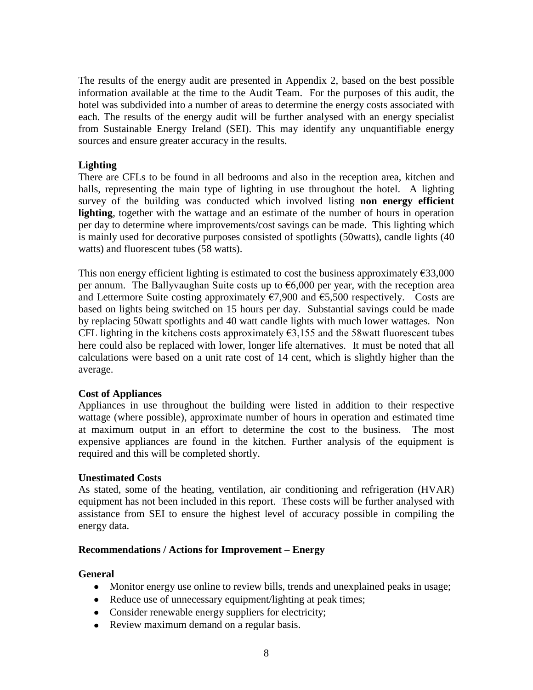The results of the energy audit are presented in Appendix 2, based on the best possible information available at the time to the Audit Team. For the purposes of this audit, the hotel was subdivided into a number of areas to determine the energy costs associated with each. The results of the energy audit will be further analysed with an energy specialist from Sustainable Energy Ireland (SEI). This may identify any unquantifiable energy sources and ensure greater accuracy in the results.

### **Lighting**

There are CFLs to be found in all bedrooms and also in the reception area, kitchen and halls, representing the main type of lighting in use throughout the hotel. A lighting survey of the building was conducted which involved listing **non energy efficient lighting**, together with the wattage and an estimate of the number of hours in operation per day to determine where improvements/cost savings can be made. This lighting which is mainly used for decorative purposes consisted of spotlights (50watts), candle lights (40 watts) and fluorescent tubes (58 watts).

This non energy efficient lighting is estimated to cost the business approximately  $E$ 33,000 per annum. The Ballyvaughan Suite costs up to  $6,000$  per year, with the reception area and Lettermore Suite costing approximately  $\epsilon$ 7,900 and  $\epsilon$ 5,500 respectively. Costs are based on lights being switched on 15 hours per day. Substantial savings could be made by replacing 50watt spotlights and 40 watt candle lights with much lower wattages. Non CFL lighting in the kitchens costs approximately  $63,155$  and the 58watt fluorescent tubes here could also be replaced with lower, longer life alternatives. It must be noted that all calculations were based on a unit rate cost of 14 cent, which is slightly higher than the average.

#### **Cost of Appliances**

Appliances in use throughout the building were listed in addition to their respective wattage (where possible), approximate number of hours in operation and estimated time at maximum output in an effort to determine the cost to the business. The most expensive appliances are found in the kitchen. Further analysis of the equipment is required and this will be completed shortly.

#### **Unestimated Costs**

As stated, some of the heating, ventilation, air conditioning and refrigeration (HVAR) equipment has not been included in this report. These costs will be further analysed with assistance from SEI to ensure the highest level of accuracy possible in compiling the energy data.

#### **Recommendations / Actions for Improvement – Energy**

#### **General**

- Monitor energy use online to review bills, trends and unexplained peaks in usage;
- Reduce use of unnecessary equipment/lighting at peak times;
- Consider renewable energy suppliers for electricity;
- Review maximum demand on a regular basis.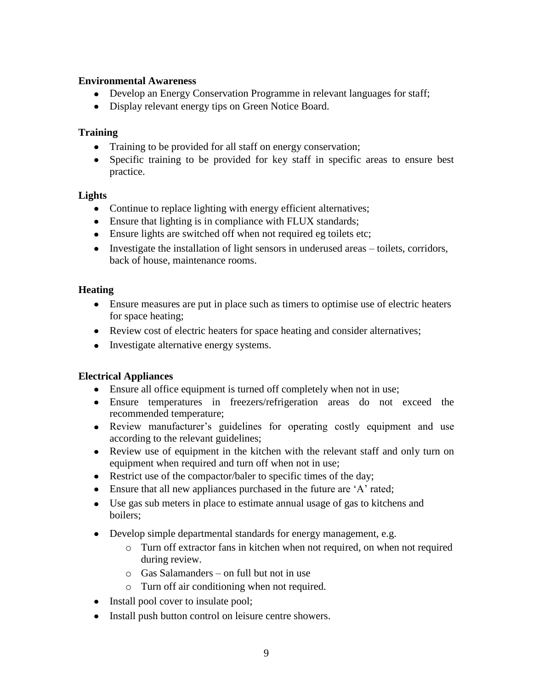### **Environmental Awareness**

- Develop an Energy Conservation Programme in relevant languages for staff;
- Display relevant energy tips on Green Notice Board.

#### **Training**

- Training to be provided for all staff on energy conservation;
- Specific training to be provided for key staff in specific areas to ensure best practice.

### **Lights**

- Continue to replace lighting with energy efficient alternatives;
- Ensure that lighting is in compliance with FLUX standards;
- Ensure lights are switched off when not required eg toilets etc;
- Investigate the installation of light sensors in underused areas toilets, corridors, back of house, maintenance rooms.

#### **Heating**

- Ensure measures are put in place such as timers to optimise use of electric heaters for space heating;
- Review cost of electric heaters for space heating and consider alternatives;
- Investigate alternative energy systems.

#### **Electrical Appliances**

- Ensure all office equipment is turned off completely when not in use;
- Ensure temperatures in freezers/refrigeration areas do not exceed the recommended temperature;
- Review manufacturer's guidelines for operating costly equipment and use according to the relevant guidelines;
- Review use of equipment in the kitchen with the relevant staff and only turn on equipment when required and turn off when not in use;
- Restrict use of the compactor/baler to specific times of the day;
- Ensure that all new appliances purchased in the future are 'A' rated;
- Use gas sub meters in place to estimate annual usage of gas to kitchens and boilers;
- Develop simple departmental standards for energy management, e.g.
	- o Turn off extractor fans in kitchen when not required, on when not required during review.
	- o Gas Salamanders on full but not in use
	- o Turn off air conditioning when not required.
- Install pool cover to insulate pool;
- Install push button control on leisure centre showers.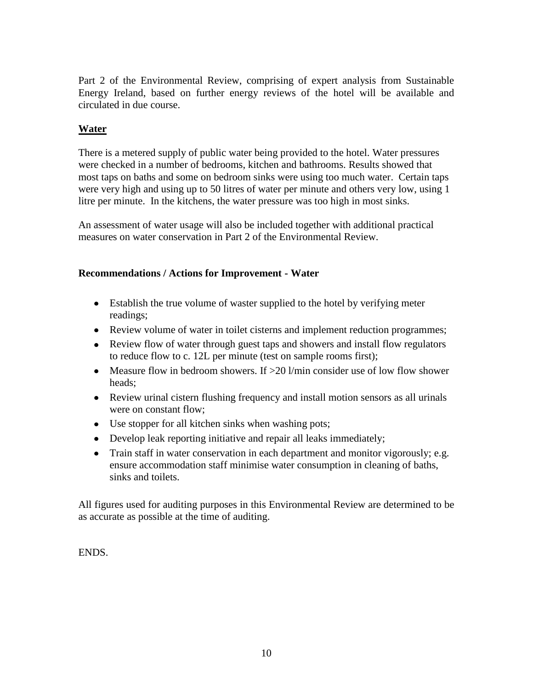Part 2 of the Environmental Review, comprising of expert analysis from Sustainable Energy Ireland, based on further energy reviews of the hotel will be available and circulated in due course.

## **Water**

There is a metered supply of public water being provided to the hotel. Water pressures were checked in a number of bedrooms, kitchen and bathrooms. Results showed that most taps on baths and some on bedroom sinks were using too much water. Certain taps were very high and using up to 50 litres of water per minute and others very low, using 1 litre per minute. In the kitchens, the water pressure was too high in most sinks.

An assessment of water usage will also be included together with additional practical measures on water conservation in Part 2 of the Environmental Review.

## **Recommendations / Actions for Improvement - Water**

- Establish the true volume of waster supplied to the hotel by verifying meter readings;
- Review volume of water in toilet cisterns and implement reduction programmes;
- Review flow of water through guest taps and showers and install flow regulators to reduce flow to c. 12L per minute (test on sample rooms first);
- Measure flow in bedroom showers. If  $>20$  l/min consider use of low flow shower heads;
- Review urinal cistern flushing frequency and install motion sensors as all urinals were on constant flow;
- Use stopper for all kitchen sinks when washing pots;
- Develop leak reporting initiative and repair all leaks immediately;
- Train staff in water conservation in each department and monitor vigorously; e.g. ensure accommodation staff minimise water consumption in cleaning of baths, sinks and toilets.

All figures used for auditing purposes in this Environmental Review are determined to be as accurate as possible at the time of auditing.

ENDS.